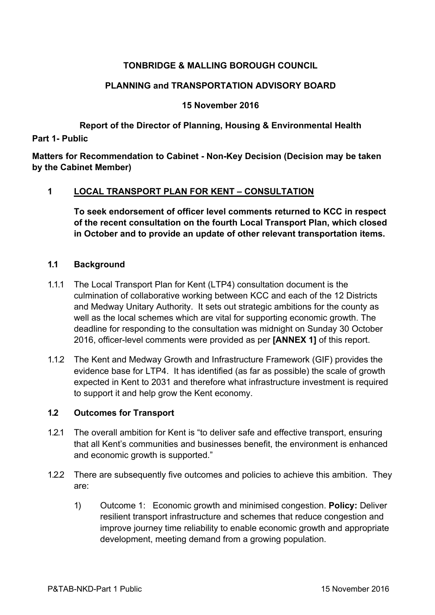# **TONBRIDGE & MALLING BOROUGH COUNCIL**

## **PLANNING and TRANSPORTATION ADVISORY BOARD**

#### **15 November 2016**

# **Report of the Director of Planning, Housing & Environmental Health**

**Part 1- Public**

**Matters for Recommendation to Cabinet - Non-Key Decision (Decision may be taken by the Cabinet Member)**

#### **1 LOCAL TRANSPORT PLAN FOR KENT – CONSULTATION**

**To seek endorsement of officer level comments returned to KCC in respect of the recent consultation on the fourth Local Transport Plan, which closed in October and to provide an update of other relevant transportation items.**

#### **1.1 Background**

- 1.1.1 The Local Transport Plan for Kent (LTP4) consultation document is the culmination of collaborative working between KCC and each of the 12 Districts and Medway Unitary Authority. It sets out strategic ambitions for the county as well as the local schemes which are vital for supporting economic growth. The deadline for responding to the consultation was midnight on Sunday 30 October 2016, officer-level comments were provided as per **[ANNEX 1]** of this report.
- 1.1.2 The Kent and Medway Growth and Infrastructure Framework (GIF) provides the evidence base for LTP4. It has identified (as far as possible) the scale of growth expected in Kent to 2031 and therefore what infrastructure investment is required to support it and help grow the Kent economy.

### **1.2 Outcomes for Transport**

- 1.2.1 The overall ambition for Kent is "to deliver safe and effective transport, ensuring that all Kent's communities and businesses benefit, the environment is enhanced and economic growth is supported."
- 1.2.2 There are subsequently five outcomes and policies to achieve this ambition. They are:
	- 1) Outcome 1: Economic growth and minimised congestion. **Policy:** Deliver resilient transport infrastructure and schemes that reduce congestion and improve journey time reliability to enable economic growth and appropriate development, meeting demand from a growing population.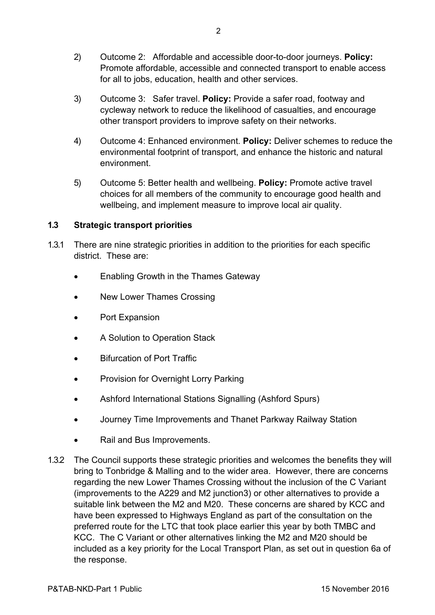- 2) Outcome 2: Affordable and accessible door-to-door journeys. **Policy:** Promote affordable, accessible and connected transport to enable access for all to jobs, education, health and other services.
- 3) Outcome 3: Safer travel. **Policy:** Provide a safer road, footway and cycleway network to reduce the likelihood of casualties, and encourage other transport providers to improve safety on their networks.
- 4) Outcome 4: Enhanced environment. **Policy:** Deliver schemes to reduce the environmental footprint of transport, and enhance the historic and natural environment.
- 5) Outcome 5: Better health and wellbeing. **Policy:** Promote active travel choices for all members of the community to encourage good health and wellbeing, and implement measure to improve local air quality.

## **1.3 Strategic transport priorities**

- 1.3.1 There are nine strategic priorities in addition to the priorities for each specific district. These are:
	- Enabling Growth in the Thames Gateway
	- New Lower Thames Crossing
	- Port Expansion
	- A Solution to Operation Stack
	- Bifurcation of Port Traffic
	- Provision for Overnight Lorry Parking
	- Ashford International Stations Signalling (Ashford Spurs)
	- Journey Time Improvements and Thanet Parkway Railway Station
	- Rail and Bus Improvements.
- 1.3.2 The Council supports these strategic priorities and welcomes the benefits they will bring to Tonbridge & Malling and to the wider area. However, there are concerns regarding the new Lower Thames Crossing without the inclusion of the C Variant (improvements to the A229 and M2 junction3) or other alternatives to provide a suitable link between the M2 and M20. These concerns are shared by KCC and have been expressed to Highways England as part of the consultation on the preferred route for the LTC that took place earlier this year by both TMBC and KCC. The C Variant or other alternatives linking the M2 and M20 should be included as a key priority for the Local Transport Plan, as set out in question 6a of the response.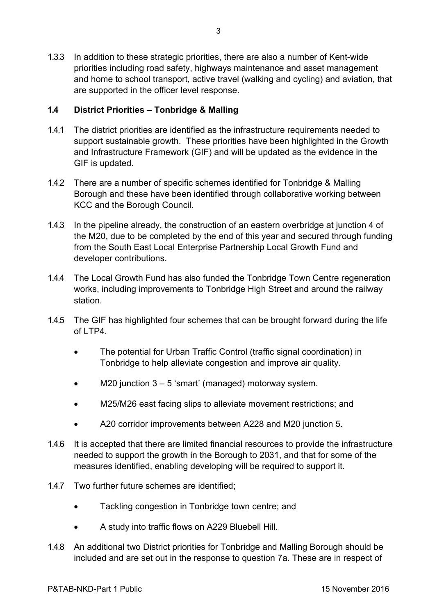1.3.3 In addition to these strategic priorities, there are also a number of Kent-wide priorities including road safety, highways maintenance and asset management and home to school transport, active travel (walking and cycling) and aviation, that are supported in the officer level response.

## **1.4 District Priorities – Tonbridge & Malling**

- 1.4.1 The district priorities are identified as the infrastructure requirements needed to support sustainable growth. These priorities have been highlighted in the Growth and Infrastructure Framework (GIF) and will be updated as the evidence in the GIF is updated.
- 1.4.2 There are a number of specific schemes identified for Tonbridge & Malling Borough and these have been identified through collaborative working between KCC and the Borough Council.
- 1.4.3 In the pipeline already, the construction of an eastern overbridge at junction 4 of the M20, due to be completed by the end of this year and secured through funding from the South East Local Enterprise Partnership Local Growth Fund and developer contributions.
- 1.4.4 The Local Growth Fund has also funded the Tonbridge Town Centre regeneration works, including improvements to Tonbridge High Street and around the railway station.
- 1.4.5 The GIF has highlighted four schemes that can be brought forward during the life of LTP4.
	- The potential for Urban Traffic Control (traffic signal coordination) in Tonbridge to help alleviate congestion and improve air quality.
	- $\bullet$  M20 junction 3 5 'smart' (managed) motorway system.
	- M25/M26 east facing slips to alleviate movement restrictions; and
	- A20 corridor improvements between A228 and M20 junction 5.
- 1.4.6 It is accepted that there are limited financial resources to provide the infrastructure needed to support the growth in the Borough to 2031, and that for some of the measures identified, enabling developing will be required to support it.
- 1.4.7 Two further future schemes are identified;
	- Tackling congestion in Tonbridge town centre; and
	- A study into traffic flows on A229 Bluebell Hill.
- 1.4.8 An additional two District priorities for Tonbridge and Malling Borough should be included and are set out in the response to question 7a. These are in respect of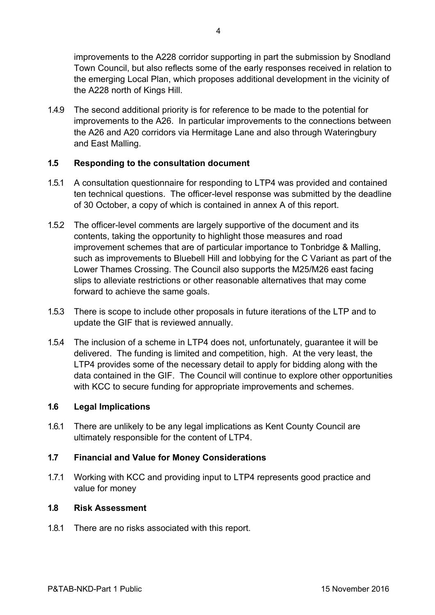improvements to the A228 corridor supporting in part the submission by Snodland Town Council, but also reflects some of the early responses received in relation to the emerging Local Plan, which proposes additional development in the vicinity of the A228 north of Kings Hill.

1.4.9 The second additional priority is for reference to be made to the potential for improvements to the A26. In particular improvements to the connections between the A26 and A20 corridors via Hermitage Lane and also through Wateringbury and East Malling.

## **1.5 Responding to the consultation document**

- 1.5.1 A consultation questionnaire for responding to LTP4 was provided and contained ten technical questions. The officer-level response was submitted by the deadline of 30 October, a copy of which is contained in annex A of this report.
- 1.5.2 The officer-level comments are largely supportive of the document and its contents, taking the opportunity to highlight those measures and road improvement schemes that are of particular importance to Tonbridge & Malling, such as improvements to Bluebell Hill and lobbying for the C Variant as part of the Lower Thames Crossing. The Council also supports the M25/M26 east facing slips to alleviate restrictions or other reasonable alternatives that may come forward to achieve the same goals.
- 1.5.3 There is scope to include other proposals in future iterations of the LTP and to update the GIF that is reviewed annually.
- 1.5.4 The inclusion of a scheme in LTP4 does not, unfortunately, guarantee it will be delivered. The funding is limited and competition, high. At the very least, the LTP4 provides some of the necessary detail to apply for bidding along with the data contained in the GIF. The Council will continue to explore other opportunities with KCC to secure funding for appropriate improvements and schemes.

### **1.6 Legal Implications**

1.6.1 There are unlikely to be any legal implications as Kent County Council are ultimately responsible for the content of LTP4.

### **1.7 Financial and Value for Money Considerations**

1.7.1 Working with KCC and providing input to LTP4 represents good practice and value for money

### **1.8 Risk Assessment**

1.8.1 There are no risks associated with this report.